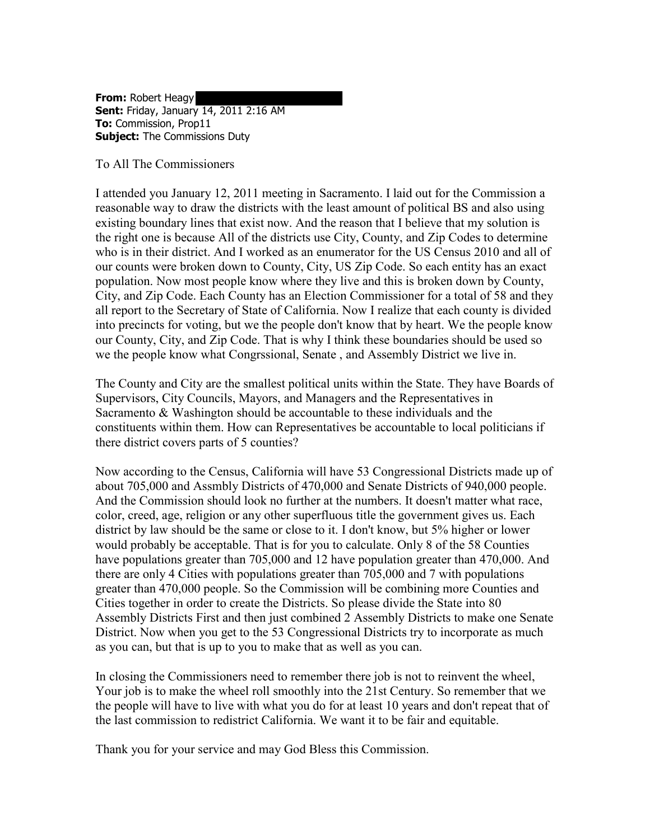**From:** Robert Heagy **Sent:** Friday, January 14, 2011 2:16 AM **To:** Commission, Prop11 **Subject:** The Commissions Duty

To All The Commissioners

I attended you January 12, 2011 meeting in Sacramento. I laid out for the Commission a reasonable way to draw the districts with the least amount of political BS and also using existing boundary lines that exist now. And the reason that I believe that my solution is the right one is because All of the districts use City, County, and Zip Codes to determine who is in their district. And I worked as an enumerator for the US Census 2010 and all of our counts were broken down to County, City, US Zip Code. So each entity has an exact population. Now most people know where they live and this is broken down by County, City, and Zip Code. Each County has an Election Commissioner for a total of 58 and they all report to the Secretary of State of California. Now I realize that each county is divided into precincts for voting, but we the people don't know that by heart. We the people know our County, City, and Zip Code. That is why I think these boundaries should be used so we the people know what Congrssional, Senate , and Assembly District we live in.

The County and City are the smallest political units within the State. They have Boards of Supervisors, City Councils, Mayors, and Managers and the Representatives in Sacramento & Washington should be accountable to these individuals and the constituents within them. How can Representatives be accountable to local politicians if there district covers parts of 5 counties?

Now according to the Census, California will have 53 Congressional Districts made up of about 705,000 and Assmbly Districts of 470,000 and Senate Districts of 940,000 people. And the Commission should look no further at the numbers. It doesn't matter what race, color, creed, age, religion or any other superfluous title the government gives us. Each district by law should be the same or close to it. I don't know, but 5% higher or lower would probably be acceptable. That is for you to calculate. Only 8 of the 58 Counties have populations greater than 705,000 and 12 have population greater than 470,000. And there are only 4 Cities with populations greater than 705,000 and 7 with populations greater than 470,000 people. So the Commission will be combining more Counties and Cities together in order to create the Districts. So please divide the State into 80 Assembly Districts First and then just combined 2 Assembly Districts to make one Senate District. Now when you get to the 53 Congressional Districts try to incorporate as much as you can, but that is up to you to make that as well as you can.

In closing the Commissioners need to remember there job is not to reinvent the wheel, Your job is to make the wheel roll smoothly into the 21st Century. So remember that we the people will have to live with what you do for at least 10 years and don't repeat that of the last commission to redistrict California. We want it to be fair and equitable.

Thank you for your service and may God Bless this Commission.